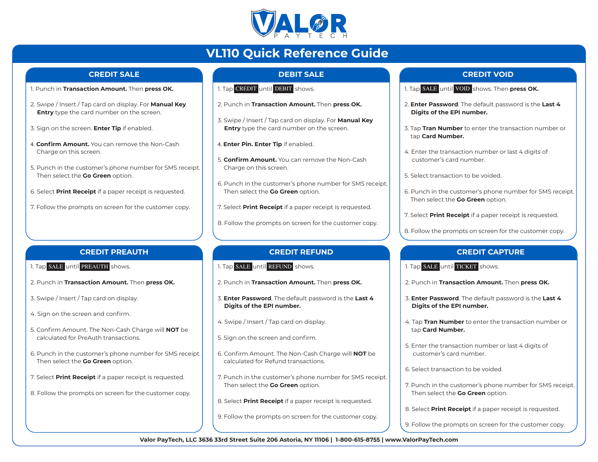

# **VL110 Quick Reference Guide**

### **CREDIT SALE**

- 1. Punch in **Transaction Amount.** Then **press OK.**
- 2. Swipe / Insert / Tap card on display. For **Manual Key Entry** type the card number on the screen.
- 3. Sign on the screen. **Enter Tip** if enabled.
- 4. **Confirm Amount.** You can remove the Non-Cash Charge on this screen.
- 5. Punch in the customer's phone number for SMS receipt. Then select the **Go Green** option.
- 6. Select **Print Receipt** if a paper receipt is requested.
- 7. Follow the prompts on screen for the customer copy.

## **DEBIT SALE**

- 1. Tap CREDIT <mark>until</mark> DEBIT <mark>shows.</mark>
- 2. Punch in **Transaction Amount.** Then **press OK.**
- 3. Swipe / Insert / Tap card on display. For **Manual Key Entry** type the card number on the screen.
- 4. **Enter Pin. Enter Tip** if enabled.
- 5. **Confirm Amount.** You can remove the Non-Cash Charge on this screen.
- 6. Punch in the customer's phone number for SMS receipt. Then select the **Go Green** option.
- 7. Select **Print Receipt** if a paper receipt is requested.
- 8. Follow the prompts on screen for the customer copy.

#### **CREDIT REFUND**

- 1. Tap SALE until REFUND shows.
- 2. Punch in **Transaction Amount.** Then **press OK.**
- 3. **Enter Password**. The default password is the **Last 4 Digits of the EPI number.**
- 4. Swipe / Insert / Tap card on display.
- 5. Sign on the screen and confirm.
- 6. Confirm Amount. The Non-Cash Charge will **NOT** be calculated for Refund transactions.
- 7. Punch in the customer's phone number for SMS receipt. Then select the **Go Green** option.
- 8. Select **Print Receipt** if a paper receipt is requested.
- 9. Follow the prompts on screen for the customer copy.

### **CREDIT VOID**

- 1. Tap SALE <mark>until</mark> VOID <mark>shows. Then **press OK.**</mark>
- 2. **Enter Password**. The default password is the **Last 4 Digits of the EPI number.**
- 3. Tap **Tran Number** to enter the transaction number or tap **Card Number.**
- 4. Enter the transaction number or last 4 digits of customer's card number.
- 5. Select transaction to be voided.
- 6. Punch in the customer's phone number for SMS receipt. Then select the **Go Green** option.
- 7. Select **Print Receipt** if a paper receipt is requested.
- 8. Follow the prompts on screen for the customer copy.

#### **CREDIT CAPTURE**

- 1. Tap SALE until TICKET shows.
- 2. Punch in **Transaction Amount.** Then **press OK.**
- 3. **Enter Password**. The default password is the **Last 4 Digits of the EPI number.**
- 4. Tap **Tran Number** to enter the transaction number or tap **Card Number.**
- 5. Enter the transaction number or last 4 digits of customer's card number.
- 6. Select transaction to be voided.
- 7. Punch in the customer's phone number for SMS receipt. Then select the **Go Green** option.
- 8. Select **Print Receipt** if a paper receipt is requested.
- 9. Follow the prompts on screen for the customer copy.

**Valor PayTech, LLC 3636 33rd Street Suite 206 Astoria, NY 11106 | 1-800-615-8755 | www.ValorPayTech.com**

## **CREDIT PREAUTH**

- 1. Tap SALE <mark>until</mark> PREAUTH shows.
- 2. Punch in **Transaction Amount.** Then **press OK.**
- 3. Swipe / Insert / Tap card on display.
- 4. Sign on the screen and confirm.
- 5. Confirm Amount. The Non-Cash Charge will **NOT** be calculated for PreAuth transactions.
- 6. Punch in the customer's phone number for SMS receipt. Then select the **Go Green** option.
- 7. Select **Print Receipt** if a paper receipt is requested.
- 8. Follow the prompts on screen for the customer copy.